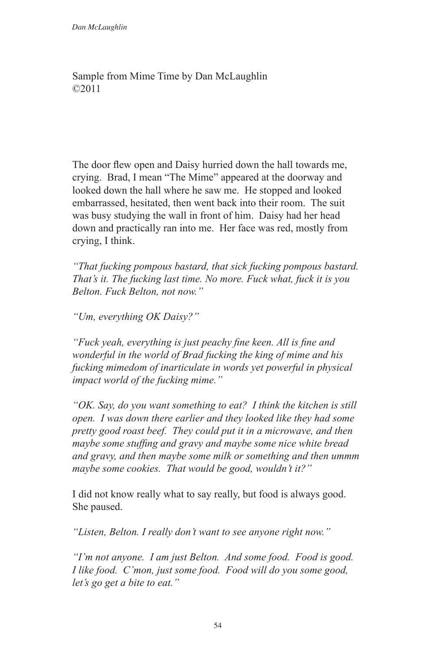## Sample from Mime Time by Dan McLaughlin ©2011

The door flew open and Daisy hurried down the hall towards me, crying. Brad, I mean "The Mime" appeared at the doorway and looked down the hall where he saw me. He stopped and looked embarrassed, hesitated, then went back into their room. The suit was busy studying the wall in front of him. Daisy had her head down and practically ran into me. Her face was red, mostly from crying, I think.

*"That fucking pompous bastard, that sick fucking pompous bastard. That's it. The fucking last time. No more. Fuck what, fuck it is you Belton. Fuck Belton, not now."*

*"Um, everything OK Daisy?"*

*"Fuck yeah, everything is just peachy fine keen. All is fine and wonderful in the world of Brad fucking the king of mime and his fucking mimedom of inarticulate in words yet powerful in physical impact world of the fucking mime."*

*"OK. Say, do you want something to eat? I think the kitchen is still open. I was down there earlier and they looked like they had some pretty good roast beef. They could put it in a microwave, and then maybe some stuffing and gravy and maybe some nice white bread and gravy, and then maybe some milk or something and then ummm maybe some cookies. That would be good, wouldn't it?"*

I did not know really what to say really, but food is always good. She paused.

*"Listen, Belton. I really don't want to see anyone right now."*

*"I'm not anyone. I am just Belton. And some food. Food is good. I like food. C'mon, just some food. Food will do you some good, let's go get a bite to eat."*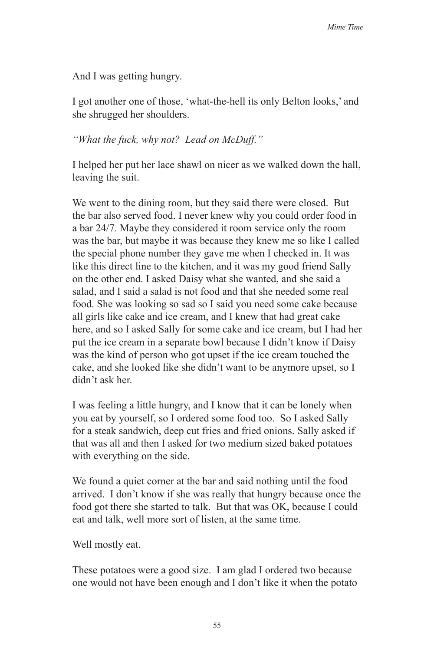And I was getting hungry.

I got another one of those, 'what-the-hell its only Belton looks,' and she shrugged her shoulders.

*"What the fuck, why not? Lead on McDuff."*

I helped her put her lace shawl on nicer as we walked down the hall, leaving the suit.

We went to the dining room, but they said there were closed. But the bar also served food. I never knew why you could order food in a bar 24/7. Maybe they considered it room service only the room was the bar, but maybe it was because they knew me so like I called the special phone number they gave me when I checked in. It was like this direct line to the kitchen, and it was my good friend Sally on the other end. I asked Daisy what she wanted, and she said a salad, and I said a salad is not food and that she needed some real food. She was looking so sad so I said you need some cake because all girls like cake and ice cream, and I knew that had great cake here, and so I asked Sally for some cake and ice cream, but I had her put the ice cream in a separate bowl because I didn't know if Daisy was the kind of person who got upset if the ice cream touched the cake, and she looked like she didn't want to be anymore upset, so I didn't ask her.

I was feeling a little hungry, and I know that it can be lonely when you eat by yourself, so I ordered some food too. So I asked Sally for a steak sandwich, deep cut fries and fried onions. Sally asked if that was all and then I asked for two medium sized baked potatoes with everything on the side.

We found a quiet corner at the bar and said nothing until the food arrived. I don't know if she was really that hungry because once the food got there she started to talk. But that was OK, because I could eat and talk, well more sort of listen, at the same time.

Well mostly eat.

These potatoes were a good size. I am glad I ordered two because one would not have been enough and I don't like it when the potato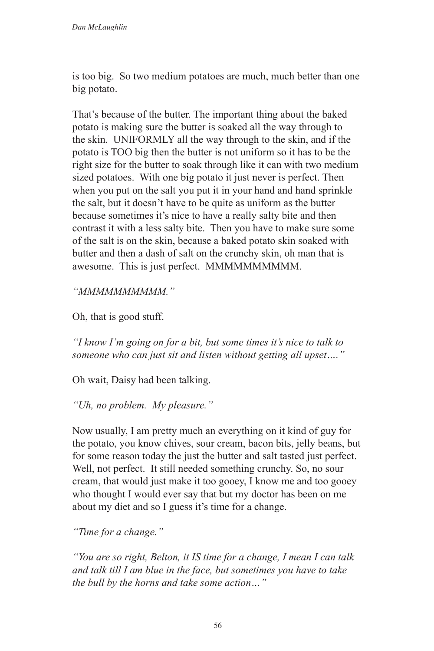is too big. So two medium potatoes are much, much better than one big potato.

That's because of the butter. The important thing about the baked potato is making sure the butter is soaked all the way through to the skin. UNIFORMLY all the way through to the skin, and if the potato is TOO big then the butter is not uniform so it has to be the right size for the butter to soak through like it can with two medium sized potatoes. With one big potato it just never is perfect. Then when you put on the salt you put it in your hand and hand sprinkle the salt, but it doesn't have to be quite as uniform as the butter because sometimes it's nice to have a really salty bite and then contrast it with a less salty bite. Then you have to make sure some of the salt is on the skin, because a baked potato skin soaked with butter and then a dash of salt on the crunchy skin, oh man that is awesome. This is just perfect. MMMMMMMMMMM.

*"MMMMMMMMMM."*

Oh, that is good stuff.

*"I know I'm going on for a bit, but some times it's nice to talk to someone who can just sit and listen without getting all upset…."*

Oh wait, Daisy had been talking.

*"Uh, no problem. My pleasure."*

Now usually, I am pretty much an everything on it kind of guy for the potato, you know chives, sour cream, bacon bits, jelly beans, but for some reason today the just the butter and salt tasted just perfect. Well, not perfect. It still needed something crunchy. So, no sour cream, that would just make it too gooey, I know me and too gooey who thought I would ever say that but my doctor has been on me about my diet and so I guess it's time for a change.

*"Time for a change."*

*"You are so right, Belton, it IS time for a change, I mean I can talk and talk till I am blue in the face, but sometimes you have to take the bull by the horns and take some action…"*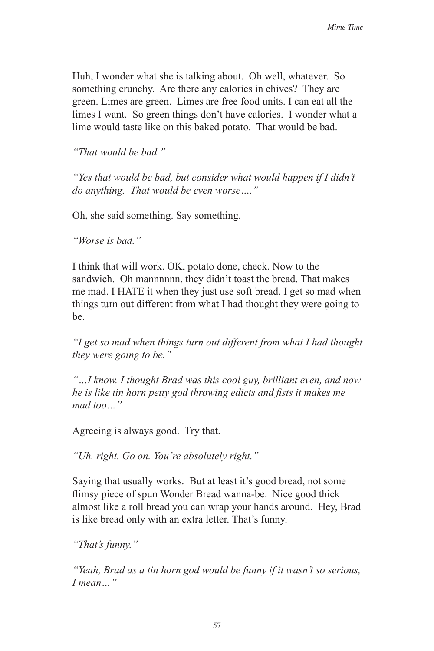Huh, I wonder what she is talking about. Oh well, whatever. So something crunchy. Are there any calories in chives? They are green. Limes are green. Limes are free food units. I can eat all the limes I want. So green things don't have calories. I wonder what a lime would taste like on this baked potato. That would be bad.

*"That would be bad."*

*"Yes that would be bad, but consider what would happen if I didn't do anything. That would be even worse…."*

Oh, she said something. Say something.

*"Worse is bad."*

I think that will work. OK, potato done, check. Now to the sandwich. Oh mannnnnn, they didn't toast the bread. That makes me mad. I HATE it when they just use soft bread. I get so mad when things turn out different from what I had thought they were going to be.

*"I get so mad when things turn out different from what I had thought they were going to be."*

*"…I know. I thought Brad was this cool guy, brilliant even, and now he is like tin horn petty god throwing edicts and fists it makes me mad too…"*

Agreeing is always good. Try that.

*"Uh, right. Go on. You're absolutely right."*

Saying that usually works. But at least it's good bread, not some flimsy piece of spun Wonder Bread wanna-be. Nice good thick almost like a roll bread you can wrap your hands around. Hey, Brad is like bread only with an extra letter. That's funny.

*"That's funny."*

*"Yeah, Brad as a tin horn god would be funny if it wasn't so serious, I mean…"*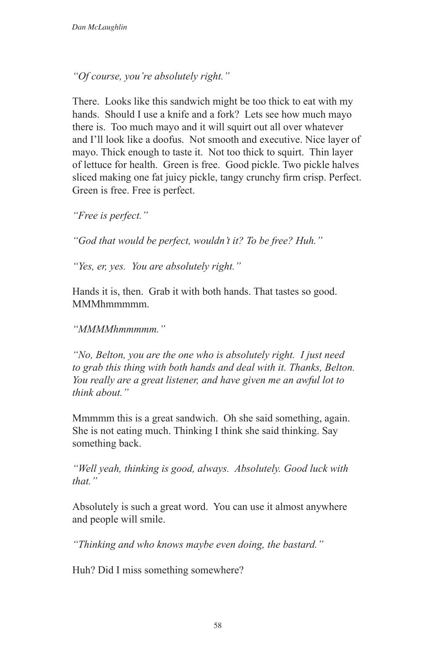*"Of course, you're absolutely right."*

There. Looks like this sandwich might be too thick to eat with my hands. Should I use a knife and a fork? Lets see how much mayo there is. Too much mayo and it will squirt out all over whatever and I'll look like a doofus. Not smooth and executive. Nice layer of mayo. Thick enough to taste it. Not too thick to squirt. Thin layer of lettuce for health. Green is free. Good pickle. Two pickle halves sliced making one fat juicy pickle, tangy crunchy firm crisp. Perfect. Green is free. Free is perfect.

*"Free is perfect."*

*"God that would be perfect, wouldn't it? To be free? Huh."*

*"Yes, er, yes. You are absolutely right."*

Hands it is, then. Grab it with both hands. That tastes so good. **MMM**hmmmmm

*"MMMMhmmmmm."*

*"No, Belton, you are the one who is absolutely right. I just need to grab this thing with both hands and deal with it. Thanks, Belton. You really are a great listener, and have given me an awful lot to think about."*

Mmmmm this is a great sandwich. Oh she said something, again. She is not eating much. Thinking I think she said thinking. Say something back.

*"Well yeah, thinking is good, always. Absolutely. Good luck with that."*

Absolutely is such a great word. You can use it almost anywhere and people will smile.

*"Thinking and who knows maybe even doing, the bastard."*

Huh? Did I miss something somewhere?